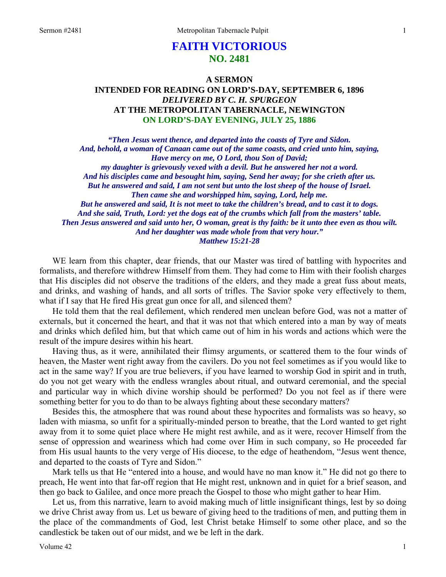# **FAITH VICTORIOUS NO. 2481**

## **A SERMON INTENDED FOR READING ON LORD'S-DAY, SEPTEMBER 6, 1896**  *DELIVERED BY C. H. SPURGEON*  **AT THE METROPOLITAN TABERNACLE, NEWINGTON ON LORD'S-DAY EVENING, JULY 25, 1886**

*"Then Jesus went thence, and departed into the coasts of Tyre and Sidon. And, behold, a woman of Canaan came out of the same coasts, and cried unto him, saying, Have mercy on me, O Lord, thou Son of David; my daughter is grievously vexed with a devil. But he answered her not a word. And his disciples came and besought him, saying, Send her away; for she crieth after us. But he answered and said, I am not sent but unto the lost sheep of the house of Israel. Then came she and worshipped him, saying, Lord, help me. But he answered and said, It is not meet to take the children's bread, and to cast it to dogs. And she said, Truth, Lord: yet the dogs eat of the crumbs which fall from the masters' table. Then Jesus answered and said unto her, O woman, great is thy faith: be it unto thee even as thou wilt. And her daughter was made whole from that very hour." Matthew 15:21-28* 

WE learn from this chapter, dear friends, that our Master was tired of battling with hypocrites and formalists, and therefore withdrew Himself from them. They had come to Him with their foolish charges that His disciples did not observe the traditions of the elders, and they made a great fuss about meats, and drinks, and washing of hands, and all sorts of trifles. The Savior spoke very effectively to them, what if I say that He fired His great gun once for all, and silenced them?

He told them that the real defilement, which rendered men unclean before God, was not a matter of externals, but it concerned the heart, and that it was not that which entered into a man by way of meats and drinks which defiled him, but that which came out of him in his words and actions which were the result of the impure desires within his heart.

Having thus, as it were, annihilated their flimsy arguments, or scattered them to the four winds of heaven, the Master went right away from the cavilers. Do you not feel sometimes as if you would like to act in the same way? If you are true believers, if you have learned to worship God in spirit and in truth, do you not get weary with the endless wrangles about ritual, and outward ceremonial, and the special and particular way in which divine worship should be performed? Do you not feel as if there were something better for you to do than to be always fighting about these secondary matters?

Besides this, the atmosphere that was round about these hypocrites and formalists was so heavy, so laden with miasma, so unfit for a spiritually-minded person to breathe, that the Lord wanted to get right away from it to some quiet place where He might rest awhile, and as it were, recover Himself from the sense of oppression and weariness which had come over Him in such company, so He proceeded far from His usual haunts to the very verge of His diocese, to the edge of heathendom, "Jesus went thence, and departed to the coasts of Tyre and Sidon."

Mark tells us that He "entered into a house, and would have no man know it." He did not go there to preach, He went into that far-off region that He might rest, unknown and in quiet for a brief season, and then go back to Galilee, and once more preach the Gospel to those who might gather to hear Him.

Let us, from this narrative, learn to avoid making much of little insignificant things, lest by so doing we drive Christ away from us. Let us beware of giving heed to the traditions of men, and putting them in the place of the commandments of God, lest Christ betake Himself to some other place, and so the candlestick be taken out of our midst, and we be left in the dark.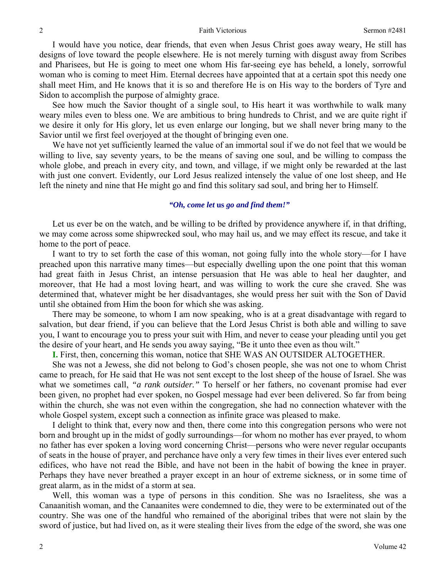I would have you notice, dear friends, that even when Jesus Christ goes away weary, He still has designs of love toward the people elsewhere. He is not merely turning with disgust away from Scribes and Pharisees, but He is going to meet one whom His far-seeing eye has beheld, a lonely, sorrowful woman who is coming to meet Him. Eternal decrees have appointed that at a certain spot this needy one shall meet Him, and He knows that it is so and therefore He is on His way to the borders of Tyre and Sidon to accomplish the purpose of almighty grace.

See how much the Savior thought of a single soul, to His heart it was worthwhile to walk many weary miles even to bless one. We are ambitious to bring hundreds to Christ, and we are quite right if we desire it only for His glory, let us even enlarge our longing, but we shall never bring many to the Savior until we first feel overjoyed at the thought of bringing even one.

We have not yet sufficiently learned the value of an immortal soul if we do not feel that we would be willing to live, say seventy years, to be the means of saving one soul, and be willing to compass the whole globe, and preach in every city, and town, and village, if we might only be rewarded at the last with just one convert. Evidently, our Lord Jesus realized intensely the value of one lost sheep, and He left the ninety and nine that He might go and find this solitary sad soul, and bring her to Himself.

#### *"Oh, come let* **us** *go and find them!"*

Let us ever be on the watch, and be willing to be drifted by providence anywhere if, in that drifting, we may come across some shipwrecked soul, who may hail us, and we may effect its rescue, and take it home to the port of peace.

I want to try to set forth the case of this woman, not going fully into the whole story—for I have preached upon this narrative many times—but especially dwelling upon the one point that this woman had great faith in Jesus Christ, an intense persuasion that He was able to heal her daughter, and moreover, that He had a most loving heart, and was willing to work the cure she craved. She was determined that, whatever might be her disadvantages, she would press her suit with the Son of David until she obtained from Him the boon for which she was asking.

There may be someone, to whom I am now speaking, who is at a great disadvantage with regard to salvation, but dear friend, if you can believe that the Lord Jesus Christ is both able and willing to save you, I want to encourage you to press your suit with Him, and never to cease your pleading until you get the desire of your heart, and He sends you away saying, "Be it unto thee even as thou wilt."

**I.** First, then, concerning this woman, notice that SHE WAS AN OUTSIDER ALTOGETHER.

She was not a Jewess, she did not belong to God's chosen people, she was not one to whom Christ came to preach, for He said that He was not sent except to the lost sheep of the house of Israel. She was what we sometimes call, *"a rank outsider."* To herself or her fathers, no covenant promise had ever been given, no prophet had ever spoken, no Gospel message had ever been delivered. So far from being within the church, she was not even within the congregation, she had no connection whatever with the whole Gospel system, except such a connection as infinite grace was pleased to make.

I delight to think that, every now and then, there come into this congregation persons who were not born and brought up in the midst of godly surroundings—for whom no mother has ever prayed, to whom no father has ever spoken a loving word concerning Christ—persons who were never regular occupants of seats in the house of prayer, and perchance have only a very few times in their lives ever entered such edifices, who have not read the Bible, and have not been in the habit of bowing the knee in prayer. Perhaps they have never breathed a prayer except in an hour of extreme sickness, or in some time of great alarm, as in the midst of a storm at sea.

Well, this woman was a type of persons in this condition. She was no Israelitess, she was a Canaanitish woman, and the Canaanites were condemned to die, they were to be exterminated out of the country. She was one of the handful who remained of the aboriginal tribes that were not slain by the sword of justice, but had lived on, as it were stealing their lives from the edge of the sword, she was one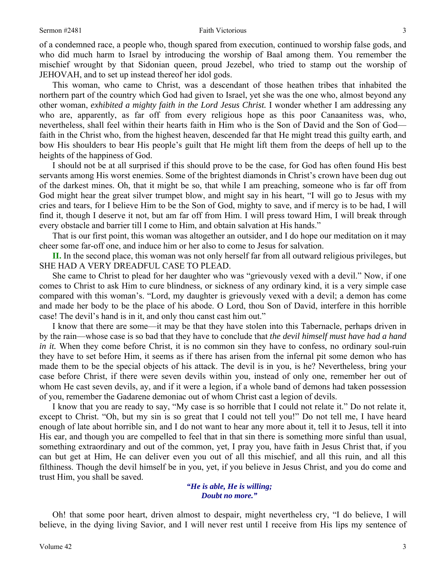of a condemned race, a people who, though spared from execution, continued to worship false gods, and who did much harm to Israel by introducing the worship of Baal among them. You remember the mischief wrought by that Sidonian queen, proud Jezebel, who tried to stamp out the worship of JEHOVAH, and to set up instead thereof her idol gods.

This woman, who came to Christ, was a descendant of those heathen tribes that inhabited the northern part of the country which God had given to Israel, yet she was the one who, almost beyond any other woman, *exhibited a mighty faith in the Lord Jesus Christ.* I wonder whether I am addressing any who are, apparently, as far off from every religious hope as this poor Canaanitess was, who, nevertheless, shall feel within their hearts faith in Him who is the Son of David and the Son of God faith in the Christ who, from the highest heaven, descended far that He might tread this guilty earth, and bow His shoulders to bear His people's guilt that He might lift them from the deeps of hell up to the heights of the happiness of God.

I should not be at all surprised if this should prove to be the case, for God has often found His best servants among His worst enemies. Some of the brightest diamonds in Christ's crown have been dug out of the darkest mines. Oh, that it might be so, that while I am preaching, someone who is far off from God might hear the great silver trumpet blow, and might say in his heart, "I will go to Jesus with my cries and tears, for I believe Him to be the Son of God, mighty to save, and if mercy is to be had, I will find it, though I deserve it not, but am far off from Him. I will press toward Him, I will break through every obstacle and barrier till I come to Him, and obtain salvation at His hands."

That is our first point, this woman was altogether an outsider, and I do hope our meditation on it may cheer some far-off one, and induce him or her also to come to Jesus for salvation.

**II.** In the second place, this woman was not only herself far from all outward religious privileges, but SHE HAD A VERY DREADFUL CASE TO PLEAD.

She came to Christ to plead for her daughter who was "grievously vexed with a devil." Now, if one comes to Christ to ask Him to cure blindness, or sickness of any ordinary kind, it is a very simple case compared with this woman's. "Lord, my daughter is grievously vexed with a devil; a demon has come and made her body to be the place of his abode. O Lord, thou Son of David, interfere in this horrible case! The devil's hand is in it, and only thou canst cast him out."

I know that there are some—it may be that they have stolen into this Tabernacle, perhaps driven in by the rain—whose case is so bad that they have to conclude that *the devil himself must have had a hand in it.* When they come before Christ, it is no common sin they have to confess, no ordinary soul-ruin they have to set before Him, it seems as if there has arisen from the infernal pit some demon who has made them to be the special objects of his attack. The devil is in you, is he? Nevertheless, bring your case before Christ, if there were seven devils within you, instead of only one, remember her out of whom He cast seven devils, ay, and if it were a legion, if a whole band of demons had taken possession of you, remember the Gadarene demoniac out of whom Christ cast a legion of devils.

I know that you are ready to say, "My case is so horrible that I could not relate it." Do not relate it, except to Christ. "Oh, but my sin is so great that I could not tell you!" Do not tell me, I have heard enough of late about horrible sin, and I do not want to hear any more about it, tell it to Jesus, tell it into His ear, and though you are compelled to feel that in that sin there is something more sinful than usual, something extraordinary and out of the common, yet, I pray you, have faith in Jesus Christ that, if you can but get at Him, He can deliver even you out of all this mischief, and all this ruin, and all this filthiness. Though the devil himself be in you, yet, if you believe in Jesus Christ, and you do come and trust Him, you shall be saved.

> *"He is able, He is willing; Doubt no more."*

Oh! that some poor heart, driven almost to despair, might nevertheless cry, "I do believe, I will believe, in the dying living Savior, and I will never rest until I receive from His lips my sentence of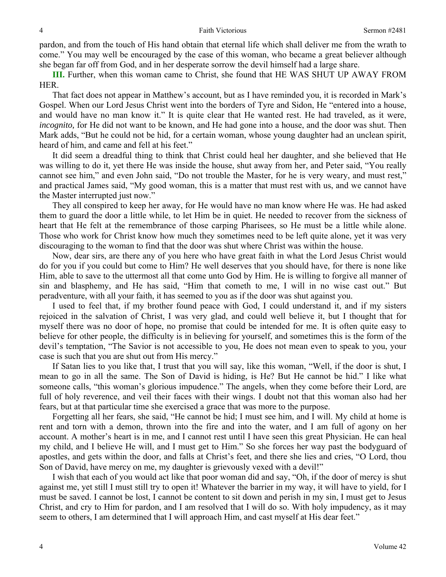pardon, and from the touch of His hand obtain that eternal life which shall deliver me from the wrath to come." You may well be encouraged by the case of this woman, who became a great believer although she began far off from God, and in her desperate sorrow the devil himself had a large share.

**III.** Further, when this woman came to Christ, she found that HE WAS SHUT UP AWAY FROM HER.

That fact does not appear in Matthew's account, but as I have reminded you, it is recorded in Mark's Gospel. When our Lord Jesus Christ went into the borders of Tyre and Sidon, He "entered into a house, and would have no man know it." It is quite clear that He wanted rest. He had traveled, as it were, *incognito,* for He did not want to be known, and He had gone into a house, and the door was shut. Then Mark adds, "But he could not be hid, for a certain woman, whose young daughter had an unclean spirit, heard of him, and came and fell at his feet."

It did seem a dreadful thing to think that Christ could heal her daughter, and she believed that He was willing to do it, yet there He was inside the house, shut away from her, and Peter said, "You really cannot see him," and even John said, "Do not trouble the Master, for he is very weary, and must rest," and practical James said, "My good woman, this is a matter that must rest with us, and we cannot have the Master interrupted just now."

They all conspired to keep her away, for He would have no man know where He was. He had asked them to guard the door a little while, to let Him be in quiet. He needed to recover from the sickness of heart that He felt at the remembrance of those carping Pharisees, so He must be a little while alone. Those who work for Christ know how much they sometimes need to be left quite alone, yet it was very discouraging to the woman to find that the door was shut where Christ was within the house.

Now, dear sirs, are there any of you here who have great faith in what the Lord Jesus Christ would do for you if you could but come to Him? He well deserves that you should have, for there is none like Him, able to save to the uttermost all that come unto God by Him. He is willing to forgive all manner of sin and blasphemy, and He has said, "Him that cometh to me, I will in no wise cast out." But peradventure, with all your faith, it has seemed to you as if the door was shut against you.

I used to feel that, if my brother found peace with God, I could understand it, and if my sisters rejoiced in the salvation of Christ, I was very glad, and could well believe it, but I thought that for myself there was no door of hope, no promise that could be intended for me. It is often quite easy to believe for other people, the difficulty is in believing for yourself, and sometimes this is the form of the devil's temptation, "The Savior is not accessible to you, He does not mean even to speak to you, your case is such that you are shut out from His mercy."

If Satan lies to you like that, I trust that you will say, like this woman, "Well, if the door is shut, I mean to go in all the same. The Son of David is hiding, is He? But He cannot be hid." I like what someone calls, "this woman's glorious impudence." The angels, when they come before their Lord, are full of holy reverence, and veil their faces with their wings. I doubt not that this woman also had her fears, but at that particular time she exercised a grace that was more to the purpose.

Forgetting all her fears, she said, "He cannot be hid; I must see him, and I will. My child at home is rent and torn with a demon, thrown into the fire and into the water, and I am full of agony on her account. A mother's heart is in me, and I cannot rest until I have seen this great Physician. He can heal my child, and I believe He will, and I must get to Him." So she forces her way past the bodyguard of apostles, and gets within the door, and falls at Christ's feet, and there she lies and cries, "O Lord, thou Son of David, have mercy on me, my daughter is grievously vexed with a devil!"

I wish that each of you would act like that poor woman did and say, "Oh, if the door of mercy is shut against me, yet still I must still try to open it! Whatever the barrier in my way, it will have to yield, for I must be saved. I cannot be lost, I cannot be content to sit down and perish in my sin, I must get to Jesus Christ, and cry to Him for pardon, and I am resolved that I will do so. With holy impudency, as it may seem to others, I am determined that I will approach Him, and cast myself at His dear feet."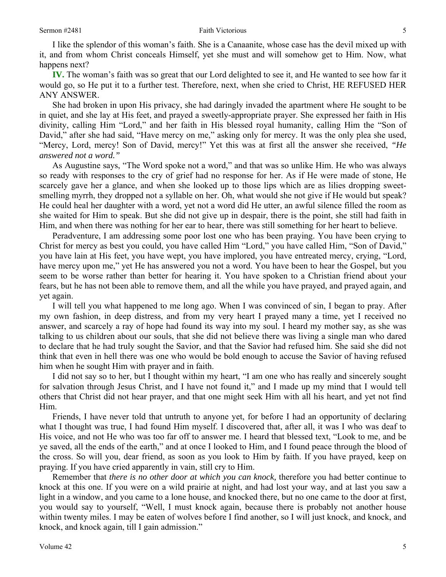I like the splendor of this woman's faith. She is a Canaanite, whose case has the devil mixed up with it, and from whom Christ conceals Himself, yet she must and will somehow get to Him. Now, what happens next?

**IV.** The woman's faith was so great that our Lord delighted to see it, and He wanted to see how far it would go, so He put it to a further test. Therefore, next, when she cried to Christ, HE REFUSED HER ANY ANSWER.

She had broken in upon His privacy, she had daringly invaded the apartment where He sought to be in quiet, and she lay at His feet, and prayed a sweetly-appropriate prayer. She expressed her faith in His divinity, calling Him "Lord," and her faith in His blessed royal humanity, calling Him the "Son of David," after she had said, "Have mercy on me," asking only for mercy. It was the only plea she used, "Mercy, Lord, mercy! Son of David, mercy!" Yet this was at first all the answer she received, *"He answered not a word."* 

As Augustine says, "The Word spoke not a word," and that was so unlike Him. He who was always so ready with responses to the cry of grief had no response for her. As if He were made of stone, He scarcely gave her a glance, and when she looked up to those lips which are as lilies dropping sweetsmelling myrrh, they dropped not a syllable on her. Oh, what would she not give if He would but speak? He could heal her daughter with a word, yet not a word did He utter, an awful silence filled the room as she waited for Him to speak. But she did not give up in despair, there is the point, she still had faith in Him, and when there was nothing for her ear to hear, there was still something for her heart to believe.

Peradventure, I am addressing some poor lost one who has been praying. You have been crying to Christ for mercy as best you could, you have called Him "Lord," you have called Him, "Son of David," you have lain at His feet, you have wept, you have implored, you have entreated mercy, crying, "Lord, have mercy upon me," yet He has answered you not a word. You have been to hear the Gospel, but you seem to be worse rather than better for hearing it. You have spoken to a Christian friend about your fears, but he has not been able to remove them, and all the while you have prayed, and prayed again, and yet again.

I will tell you what happened to me long ago. When I was convinced of sin, I began to pray. After my own fashion, in deep distress, and from my very heart I prayed many a time, yet I received no answer, and scarcely a ray of hope had found its way into my soul. I heard my mother say, as she was talking to us children about our souls, that she did not believe there was living a single man who dared to declare that he had truly sought the Savior, and that the Savior had refused him. She said she did not think that even in hell there was one who would be bold enough to accuse the Savior of having refused him when he sought Him with prayer and in faith.

I did not say so to her, but I thought within my heart, "I am one who has really and sincerely sought for salvation through Jesus Christ, and I have not found it," and I made up my mind that I would tell others that Christ did not hear prayer, and that one might seek Him with all his heart, and yet not find Him.

Friends, I have never told that untruth to anyone yet, for before I had an opportunity of declaring what I thought was true, I had found Him myself. I discovered that, after all, it was I who was deaf to His voice, and not He who was too far off to answer me. I heard that blessed text, "Look to me, and be ye saved, all the ends of the earth," and at once I looked to Him, and I found peace through the blood of the cross. So will you, dear friend, as soon as you look to Him by faith. If you have prayed, keep on praying. If you have cried apparently in vain, still cry to Him.

Remember that *there is no other door at which you can knock,* therefore you had better continue to knock at this one. If you were on a wild prairie at night, and had lost your way, and at last you saw a light in a window, and you came to a lone house, and knocked there, but no one came to the door at first, you would say to yourself, "Well, I must knock again, because there is probably not another house within twenty miles. I may be eaten of wolves before I find another, so I will just knock, and knock, and knock, and knock again, till I gain admission."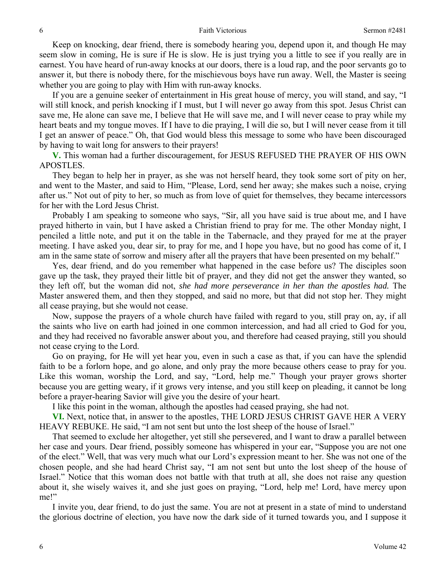Keep on knocking, dear friend, there is somebody hearing you, depend upon it, and though He may seem slow in coming, He is sure if He is slow. He is just trying you a little to see if you really are in earnest. You have heard of run-away knocks at our doors, there is a loud rap, and the poor servants go to answer it, but there is nobody there, for the mischievous boys have run away. Well, the Master is seeing whether you are going to play with Him with run-away knocks.

If you are a genuine seeker of entertainment in His great house of mercy, you will stand, and say, "I will still knock, and perish knocking if I must, but I will never go away from this spot. Jesus Christ can save me, He alone can save me, I believe that He will save me, and I will never cease to pray while my heart beats and my tongue moves. If I have to die praying, I will die so, but I will never cease from it till I get an answer of peace." Oh, that God would bless this message to some who have been discouraged by having to wait long for answers to their prayers!

**V.** This woman had a further discouragement, for JESUS REFUSED THE PRAYER OF HIS OWN APOSTLES.

They began to help her in prayer, as she was not herself heard, they took some sort of pity on her, and went to the Master, and said to Him, "Please, Lord, send her away; she makes such a noise, crying after us." Not out of pity to her, so much as from love of quiet for themselves, they became intercessors for her with the Lord Jesus Christ.

Probably I am speaking to someone who says, "Sir, all you have said is true about me, and I have prayed hitherto in vain, but I have asked a Christian friend to pray for me. The other Monday night, I penciled a little note, and put it on the table in the Tabernacle, and they prayed for me at the prayer meeting. I have asked you, dear sir, to pray for me, and I hope you have, but no good has come of it, I am in the same state of sorrow and misery after all the prayers that have been presented on my behalf."

Yes, dear friend, and do you remember what happened in the case before us? The disciples soon gave up the task, they prayed their little bit of prayer, and they did not get the answer they wanted, so they left off, but the woman did not, *she had more perseverance in her than the apostles had.* The Master answered them, and then they stopped, and said no more, but that did not stop her. They might all cease praying, but she would not cease.

Now, suppose the prayers of a whole church have failed with regard to you, still pray on, ay, if all the saints who live on earth had joined in one common intercession, and had all cried to God for you, and they had received no favorable answer about you, and therefore had ceased praying, still you should not cease crying to the Lord.

Go on praying, for He will yet hear you, even in such a case as that, if you can have the splendid faith to be a forlorn hope, and go alone, and only pray the more because others cease to pray for you. Like this woman, worship the Lord, and say, "Lord, help me." Though your prayer grows shorter because you are getting weary, if it grows very intense, and you still keep on pleading, it cannot be long before a prayer-hearing Savior will give you the desire of your heart.

I like this point in the woman, although the apostles had ceased praying, she had not.

**VI.** Next, notice that, in answer to the apostles, THE LORD JESUS CHRIST GAVE HER A VERY HEAVY REBUKE. He said, "I am not sent but unto the lost sheep of the house of Israel."

That seemed to exclude her altogether, yet still she persevered, and I want to draw a parallel between her case and yours. Dear friend, possibly someone has whispered in your ear, "Suppose you are not one of the elect." Well, that was very much what our Lord's expression meant to her. She was not one of the chosen people, and she had heard Christ say, "I am not sent but unto the lost sheep of the house of Israel." Notice that this woman does not battle with that truth at all, she does not raise any question about it, she wisely waives it, and she just goes on praying, "Lord, help me! Lord, have mercy upon me!"

I invite you, dear friend, to do just the same. You are not at present in a state of mind to understand the glorious doctrine of election, you have now the dark side of it turned towards you, and I suppose it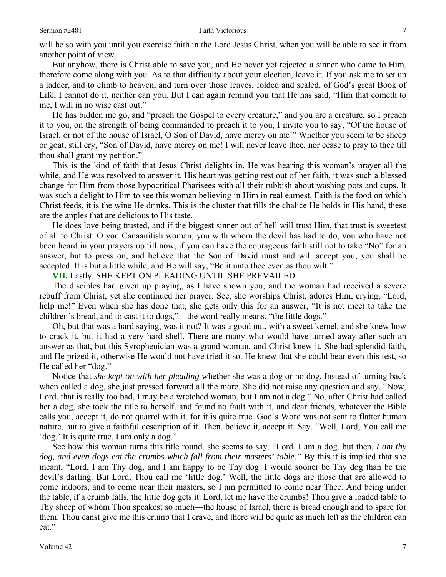#### Sermon #2481 **Faith Victorious** 7

will be so with you until you exercise faith in the Lord Jesus Christ, when you will be able to see it from another point of view.

But anyhow, there is Christ able to save you, and He never yet rejected a sinner who came to Him, therefore come along with you. As to that difficulty about your election, leave it. If you ask me to set up a ladder, and to climb to heaven, and turn over those leaves, folded and sealed, of God's great Book of Life, I cannot do it, neither can you. But I can again remind you that He has said, "Him that cometh to me, I will in no wise cast out."

He has bidden me go, and "preach the Gospel to every creature," and you are a creature, so I preach it to you, on the strength of being commanded to preach it to you, I invite you to say, "Of the house of Israel, or not of the house of Israel, O Son of David, have mercy on me!" Whether you seem to be sheep or goat, still cry, "Son of David, have mercy on me! I will never leave thee, nor cease to pray to thee till thou shall grant my petition."

This is the kind of faith that Jesus Christ delights in, He was hearing this woman's prayer all the while, and He was resolved to answer it. His heart was getting rest out of her faith, it was such a blessed change for Him from those hypocritical Pharisees with all their rubbish about washing pots and cups. It was such a delight to Him to see this woman believing in Him in real earnest. Faith is the food on which Christ feeds, it is the wine He drinks. This is the cluster that fills the chalice He holds in His hand, these are the apples that are delicious to His taste.

He does love being trusted, and if the biggest sinner out of hell will trust Him, that trust is sweetest of all to Christ. O you Canaanitish woman, you with whom the devil has had to do, you who have not been heard in your prayers up till now, if you can have the courageous faith still not to take "No" for an answer, but to press on, and believe that the Son of David must and will accept you, you shall be accepted. It is but a little while, and He will say, "Be it unto thee even as thou wilt."

**VII.** Lastly, SHE KEPT ON PLEADING UNTIL SHE PREVAILED.

The disciples had given up praying, as I have shown you, and the woman had received a severe rebuff from Christ, yet she continued her prayer. See, she worships Christ, adores Him, crying, "Lord, help me!" Even when she has done that, she gets only this for an answer, "It is not meet to take the children's bread, and to cast it to dogs,"—the word really means, "the little dogs."

Oh, but that was a hard saying, was it not? It was a good nut, with a sweet kernel, and she knew how to crack it, but it had a very hard shell. There are many who would have turned away after such an answer as that, but this Syrophenician was a grand woman, and Christ knew it. She had splendid faith, and He prized it, otherwise He would not have tried it so. He knew that she could bear even this test, so He called her "dog."

Notice that *she kept on with her pleading* whether she was a dog or no dog. Instead of turning back when called a dog, she just pressed forward all the more. She did not raise any question and say, "Now, Lord, that is really too bad, I may be a wretched woman, but I am not a dog." No, after Christ had called her a dog, she took the title to herself, and found no fault with it, and dear friends, whatever the Bible calls you, accept it, do not quarrel with it, for it is quite true. God's Word was not sent to flatter human nature, but to give a faithful description of it. Then, believe it, accept it. Say, "Well, Lord, You call me 'dog.' It is quite true, I am only a dog."

See how this woman turns this title round, she seems to say, "Lord, I am a dog, but then, *I am thy dog, and even dogs eat the crumbs which fall from their masters' table."* By this it is implied that she meant, "Lord, I am Thy dog, and I am happy to be Thy dog. I would sooner be Thy dog than be the devil's darling. But Lord, Thou call me 'little dog.' Well, the little dogs are those that are allowed to come indoors, and to come near their masters, so I am permitted to come near Thee. And being under the table, if a crumb falls, the little dog gets it. Lord, let me have the crumbs! Thou give a loaded table to Thy sheep of whom Thou speakest so much—the house of Israel, there is bread enough and to spare for them. Thou canst give me this crumb that I crave, and there will be quite as much left as the children can eat."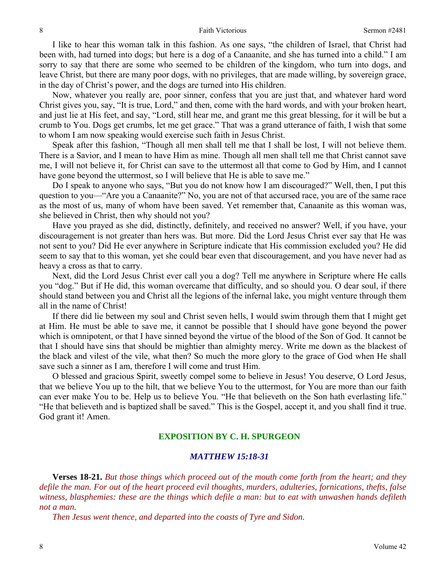I like to hear this woman talk in this fashion. As one says, "the children of Israel, that Christ had been with, had turned into dogs; but here is a dog of a Canaanite, and she has turned into a child." I am sorry to say that there are some who seemed to be children of the kingdom, who turn into dogs, and leave Christ, but there are many poor dogs, with no privileges, that are made willing, by sovereign grace, in the day of Christ's power, and the dogs are turned into His children.

Now, whatever you really are, poor sinner, confess that you are just that, and whatever hard word Christ gives you, say, "It is true, Lord," and then, come with the hard words, and with your broken heart, and just lie at His feet, and say, "Lord, still hear me, and grant me this great blessing, for it will be but a crumb to You. Dogs get crumbs, let me get grace." That was a grand utterance of faith, I wish that some to whom I am now speaking would exercise such faith in Jesus Christ.

Speak after this fashion, "Though all men shall tell me that I shall be lost, I will not believe them. There is a Savior, and I mean to have Him as mine. Though all men shall tell me that Christ cannot save me, I will not believe it, for Christ can save to the uttermost all that come to God by Him, and I cannot have gone beyond the uttermost, so I will believe that He is able to save me."

Do I speak to anyone who says, "But you do not know how I am discouraged?" Well, then, I put this question to you—"Are you a Canaanite?" No, you are not of that accursed race, you are of the same race as the most of us, many of whom have been saved. Yet remember that, Canaanite as this woman was, she believed in Christ, then why should not you?

Have you prayed as she did, distinctly, definitely, and received no answer? Well, if you have, your discouragement is not greater than hers was. But more. Did the Lord Jesus Christ ever say that He was not sent to you? Did He ever anywhere in Scripture indicate that His commission excluded you? He did seem to say that to this woman, yet she could bear even that discouragement, and you have never had as heavy a cross as that to carry.

Next, did the Lord Jesus Christ ever call you a dog? Tell me anywhere in Scripture where He calls you "dog." But if He did, this woman overcame that difficulty, and so should you. O dear soul, if there should stand between you and Christ all the legions of the infernal lake, you might venture through them all in the name of Christ!

If there did lie between my soul and Christ seven hells, I would swim through them that I might get at Him. He must be able to save me, it cannot be possible that I should have gone beyond the power which is omnipotent, or that I have sinned beyond the virtue of the blood of the Son of God. It cannot be that I should have sins that should be mightier than almighty mercy. Write me down as the blackest of the black and vilest of the vile, what then? So much the more glory to the grace of God when He shall save such a sinner as I am, therefore I will come and trust Him.

O blessed and gracious Spirit, sweetly compel some to believe in Jesus! You deserve, O Lord Jesus, that we believe You up to the hilt, that we believe You to the uttermost, for You are more than our faith can ever make You to be. Help us to believe You. "He that believeth on the Son hath everlasting life." "He that believeth and is baptized shall be saved." This is the Gospel, accept it, and you shall find it true. God grant it! Amen.

## **EXPOSITION BY C. H. SPURGEON**

### *MATTHEW 15:18-31*

**Verses 18-21.** *But those things which proceed out of the mouth come forth from the heart; and they defile the man. For out of the heart proceed evil thoughts, murders, adulteries, fornications, thefts, false witness, blasphemies: these are the things which defile a man: but to eat with unwashen hands defileth not a man.* 

*Then Jesus went thence, and departed into the coasts of Tyre and Sidon.*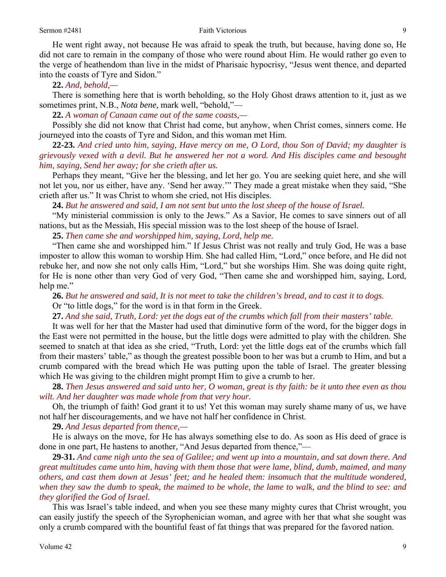He went right away, not because He was afraid to speak the truth, but because, having done so, He did not care to remain in the company of those who were round about Him. He would rather go even to the verge of heathendom than live in the midst of Pharisaic hypocrisy, "Jesus went thence, and departed into the coasts of Tyre and Sidon."

**22.** *And, behold,—*

There is something here that is worth beholding, so the Holy Ghost draws attention to it, just as we sometimes print, N.B., *Nota bene,* mark well, "behold,"—

**22.** *A woman of Canaan came out of the same coasts,—*

Possibly she did not know that Christ had come, but anyhow, when Christ comes, sinners come. He journeyed into the coasts of Tyre and Sidon, and this woman met Him.

**22-23.** *And cried unto him, saying, Have mercy on me, O Lord, thou Son of David; my daughter is grievously vexed with a devil. But he answered her not a word. And His disciples came and besought him, saying, Send her away; for she crieth after us.*

Perhaps they meant, "Give her the blessing, and let her go. You are seeking quiet here, and she will not let you, nor us either, have any. 'Send her away.'" They made a great mistake when they said, "She crieth after us." It was Christ to whom she cried, not His disciples.

**24.** *But he answered and said, I am not sent but unto the lost sheep of the house of Israel.*

"My ministerial commission is only to the Jews." As a Savior, He comes to save sinners out of all nations, but as the Messiah, His special mission was to the lost sheep of the house of Israel.

**25.** *Then came she and worshipped him, saying, Lord, help me.*

"Then came she and worshipped him." If Jesus Christ was not really and truly God, He was a base imposter to allow this woman to worship Him. She had called Him, "Lord," once before, and He did not rebuke her, and now she not only calls Him, "Lord," but she worships Him. She was doing quite right, for He is none other than very God of very God, "Then came she and worshipped him, saying, Lord, help me."

**26.** *But he answered and said, It is not meet to take the children's bread, and to cast it to dogs.* Or "to little dogs," for the word is in that form in the Greek.

**27.** *And she said, Truth, Lord: yet the dogs eat of the crumbs which fall from their masters' table.*

It was well for her that the Master had used that diminutive form of the word, for the bigger dogs in the East were not permitted in the house, but the little dogs were admitted to play with the children. She seemed to snatch at that idea as she cried, "Truth, Lord: yet the little dogs eat of the crumbs which fall from their masters' table," as though the greatest possible boon to her was but a crumb to Him, and but a crumb compared with the bread which He was putting upon the table of Israel. The greater blessing which He was giving to the children might prompt Him to give a crumb to her.

**28.** *Then Jesus answered and said unto her, O woman, great is thy faith: be it unto thee even as thou wilt. And her daughter was made whole from that very hour.*

Oh, the triumph of faith! God grant it to us! Yet this woman may surely shame many of us, we have not half her discouragements, and we have not half her confidence in Christ.

**29.** *And Jesus departed from thence,—*

He is always on the move, for He has always something else to do. As soon as His deed of grace is done in one part, He hastens to another, "And Jesus departed from thence,"—

**29-31.** *And came nigh unto the sea of Galilee; and went up into a mountain, and sat down there. And great multitudes came unto him, having with them those that were lame, blind, dumb, maimed, and many others, and cast them down at Jesus' feet; and he healed them: insomuch that the multitude wondered, when they saw the dumb to speak, the maimed to be whole, the lame to walk, and the blind to see: and they glorified the God of Israel.*

This was Israel's table indeed, and when you see these many mighty cures that Christ wrought, you can easily justify the speech of the Syrophenician woman, and agree with her that what she sought was only a crumb compared with the bountiful feast of fat things that was prepared for the favored nation.